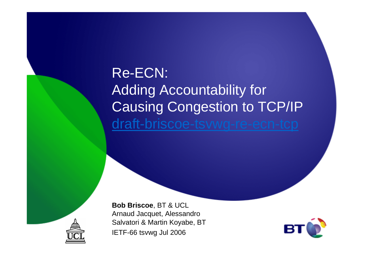## Re-ECN:Adding Accountability for Causing Congestion to TCP/IPdraft-briscoe-tsvwg-re-ecn-tcp



**Bob Briscoe**, BT & UCL Arnaud Jacquet, Alessandro Salvatori & Martin Koyabe, BTIETF-66 tsvwg Jul 2006

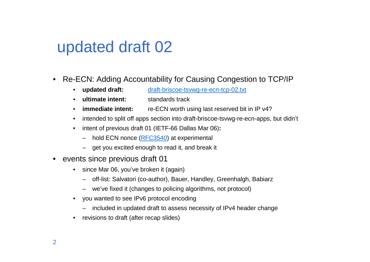## updated draft 02

- • Re-ECN: Adding Accountability for Causing Congestion to TCP/IP
	- updated draft: **updated draft:** draft-briscoe-tsvwg-re-ecn-tcp-02.txt
	- •**ultimate intent:** standards track
	- •**immediate intent:** re-ECN worth using last reserved bit in IP v4?
	- •intended to split off apps section into draft-briscoe-tsvwg-re-ecn-apps, but didn't
	- $\bullet$  intent of previous draft 01 (IETF-66 Dallas Mar 06)**:**
		- hold ECN nonce (<u>RFC3540</u>) at experimental
		- get you excited enough to read it, and break it
- • events since previous draft 01
	- since Mar 06, you've broken it (again) $\bullet$ 
		- –off-list: Salvatori (co-author), Bauer, Handley, Greenhalgh, Babiarz
		- –we've fixed it (changes to policing algorithms, not protocol)
	- $\bullet$  you wanted to see IPv6 protocol encoding
		- –included in updated draft to assess necessity of IPv4 header change
	- $\bullet$ revisions to draft (after recap slides)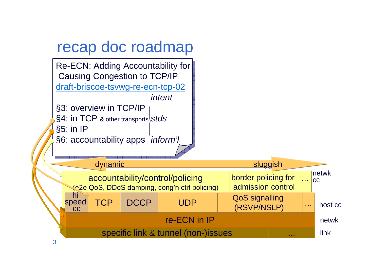#### recap doc roadmap

Re-ECN: Adding Accountability for $\big|$ Causing Congestion to TCP/IP <u>draft-briscoe-tsvwg-re-ecn-tcp-02</u> intent §3: overview in TCP/IP  $\S4$ : <code>in TCP</code> & other transports $\big\vert$ S $t$ d $s$  $\S5:$  in IP $[$ 

§6: accountability apps *inform'l*<br>◇

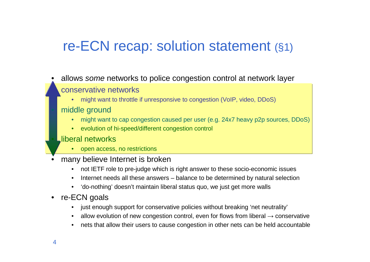#### re-ECN recap: solution statement (§1)

#### •allows some networks to police congestion control at network layer

#### conservative networks

 might want to throttle if unresponsive to congestion (VoIP, video, DDoS)•

#### middle ground

- might want to cap congestion caused per user (e.g. 24x7 heavy p2p sources, DDoS)•
- •evolution of hi-speed/different congestion control

#### liberal networks

- open access, no restrictions•
- • many believe Internet is broken
	- not IETF role to pre-judge which is right answer to these socio-economic issues•
	- •Internet needs all these answers – balance to be determined by natural selection
	- •'do-nothing' doesn't maintain liberal status quo, we just get more walls

#### $\bullet$ re-ECN goals

- •just enough support for conservative policies without breaking 'net neutrality'
- •allow evolution of new congestion control, even for flows from liberal  $\rightarrow$  conservative<br>acts that ellew their users to source conservative in other nate see he held secounts less
- •nets that allow their users to cause congestion in other nets can be held accountable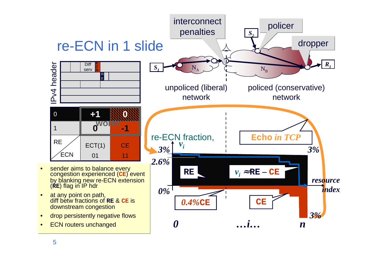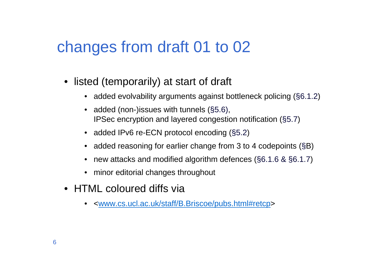## changes from draft 01 to 02

- listed (temporarily) at start of draft
	- added evolvability arguments against bottleneck policing (§6.1.2)
	- added (non-)issues with tunnels (§5.6), IPSec encryption and layered congestion notification (§5.7)
	- added IPv6 re-ECN protocol encoding (§5.2)
	- added reasoning for earlier change from 3 to 4 codepoints (§B)
	- new attacks and modified algorithm defences (§6.1.6 & §6.1.7)
	- minor editorial changes throughout
- HTML coloured diffs via
	- •<www.cs.ucl.ac.uk/staff/B.Briscoe/pubs.html#retcp>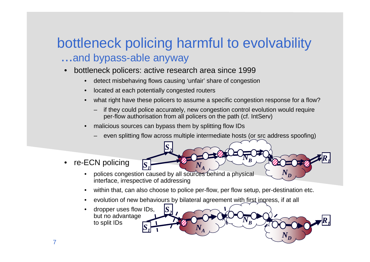#### bottleneck policing harmful to evolvability...and bypass-able anyway

- bottleneck policers: active research area since 1999•
	- •detect misbehaving flows causing 'unfair' share of congestion
	- •located at each potentially congested routers
	- •what right have these policers to assume a specific congestion response for a flow?
		- if they could police accurately, new congestion control evolution would require per-flow authorisation from all policers on the path (cf. IntServ)
	- • malicious sources can bypass them by splitting flow IDs
		- even splitting flow across multiple intermediate hosts (or src address spoofing)

 $N_{\pmb{B}}$ 

 $S_I$   $N_A$ ,  $\rightarrow$   $\rightarrow$   $\rightarrow$   $\rightarrow$   $\rightarrow$ 

 $N_{D}$ 

*R1*

- • re-ECN policing
	- polices congestion caused by all sources behind a physical •interface, irrespective of addressing

*S2*

•within that, can also choose to police per-flow, per flow setup, per-destination etc.

 $N_{A}$ 

- •evolution of new behaviours by bilateral agreement with first ingress, if at all
- • dropper uses flow IDs, but no advantageto split IDs $S_1$   $N_A$  *<sup>N</sup><sup>B</sup> <sup>N</sup>D <sup>R</sup><sup>1</sup> <sup>S</sup><sup>1</sup> S2*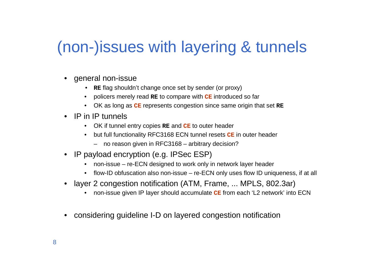## (non-)issues with layering & tunnels

- general non-issue
	- **RE** flag shouldn't change once set by sender (or proxy)
	- policers merely read **RE** to compare with **CE** introduced so far
	- OK as long as **CE** represents congestion since same origin that set **RE**
- IP in IP tunnels
	- OK if tunnel entry copies **RE** and **CE** to outer header
	- but full functionality RFC3168 ECN tunnel resets **CE** in outer header
		- no reason given in RFC3168 arbitrary decision?
- IP payload encryption (e.g. IPSec ESP)
	- non-issue re-ECN designed to work only in network layer header
	- flow-ID obfuscation also non-issue re-ECN only uses flow ID uniqueness, if at all
- • layer 2 congestion notification (ATM, Frame, ... MPLS, 802.3ar)
	- •non-issue given IP layer should accumulate **CE** from each 'L2 network' into ECN
- •considering guideline I-D on layered congestion notification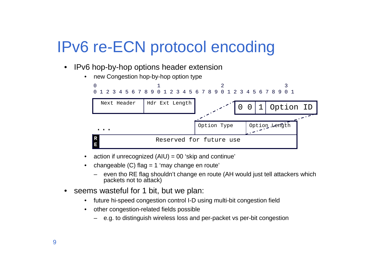## IPv6 re-ECN protocol encoding

•IPv6 hop-by-hop options header extension



- $\bullet$ action if unrecognized (AIU) = 00 'skip and continue'
- • changeable (C) flag = 1 'may change en route'
	- even tho RE flag shouldn't change en route (AH would just tell attackers which packets not to attack)
- • seems wasteful for 1 bit, but we plan:
	- $\bullet$ future hi-speed congestion control I-D using multi-bit congestion field
	- • other congestion-related fields possible
		- e.g. to distinguish wireless loss and per-packet vs per-bit congestion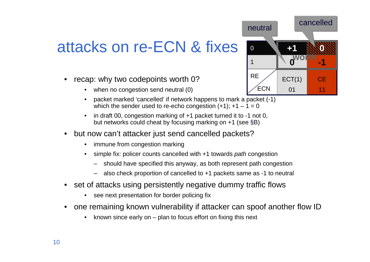## attacks on re-ECN & fixes

- • recap: why two codepoints worth 0?
	- when no congestion send neutral (0)
	- • packet marked 'cancelled' if network happens to mark a packet (-1) which the sender used to re-echo congestion  $(+1)$ ;  $+1 - 1 = 0$
	- • in draft 00, congestion marking of +1 packet turned it to -1 not 0, but networks could cheat by focusing marking on +1 (see §B)
- • but now can't attacker just send cancelled packets?
	- $\bullet$ immune from congestion marking
	- $\bullet$ simple fix: policer counts cancelled with +1 towards path congestion
		- should have specified this anyway, as both represent path congestion
		- also check proportion of cancelled to +1 packets same as -1 to neutral
- • set of attacks using persistently negative dummy traffic flows
	- $\bullet$ see next presentation for border policing fix
- • one remaining known vulnerability if attacker can spoof another flow ID
	- •known since early on – plan to focus effort on fixing this next

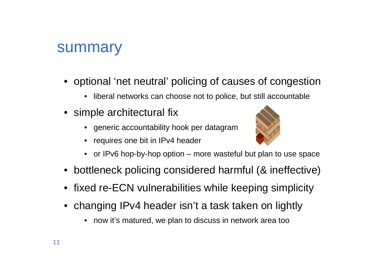#### summary

- optional 'net neutral' policing of causes of congestion
	- liberal networks can choose not to police, but still accountable
- simple architectural fix
	- generic accountability hook per datagram
	- requires one bit in IPv4 header



- or IPv6 hop-by-hop option more wasteful but plan to use space
- bottleneck policing considered harmful (& ineffective)
- fixed re-ECN vulnerabilities while keeping simplicity
- changing IPv4 header isn't a task taken on lightly
	- •now it's matured, we plan to discuss in network area too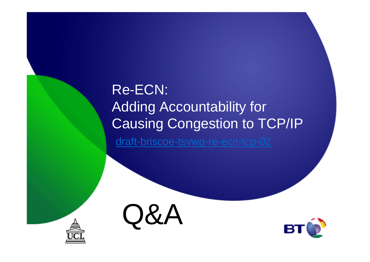## Re-ECN:Adding Accountability for Causing Congestion to TCP/IP

draft-briscoe-tsvwg-re-ecn-tcp-02





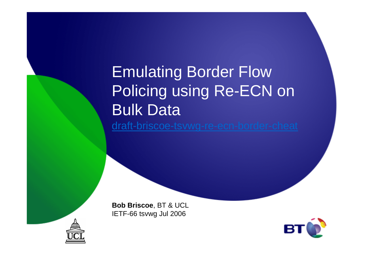# Emulating Border Flow Policing using Re-ECN on Bulk Data

draft-briscoe-tsvwg-re-ecn-border-cheat

**Bob Briscoe**, BT & UCLIETF-66 tsvwg Jul 2006



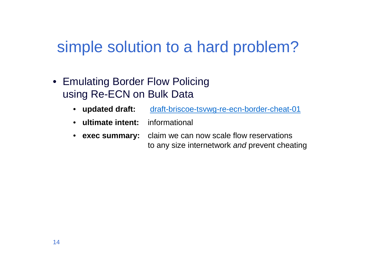## simple solution to a hard problem?

- Emulating Border Flow Policing using Re-ECN on Bulk Data
	- updated draft: draft-briscoe-tsvwg-re-ecn-border-cheat-01
	- **ultimate intent:** informational
	- exec summary: **exec summary:** claim we can now scale flow reservations to any size internetwork and prevent cheating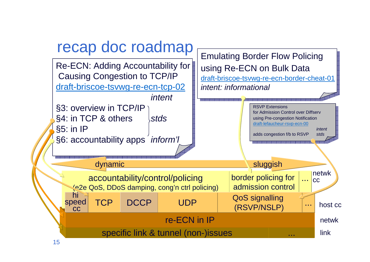

15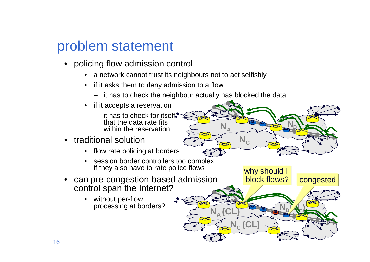#### problem statement

- policing flow admission control
	- a network cannot trust its neighbours not to act selfishly
	- if it asks them to deny admission to a flow
		- it has to check the neighbour actually has blocked the data

**N**

**1**

**N**<sup>D</sup>

why should I block flows?

**NA (CL)**

**NC (CL)**

**1** 

**N**<sub>D</sub>**(AL)** 

**1**

congested

**NC**

- if it accepts a reservation
	- it has to check for itself that the data rate fits within the reservation
- traditional solution
	- flow rate policing at borders
	- session border controllers too complexif they also have to rate police flows
- • can pre-congestion-based admission control span the Internet?
	- without per-flowprocessing at borders?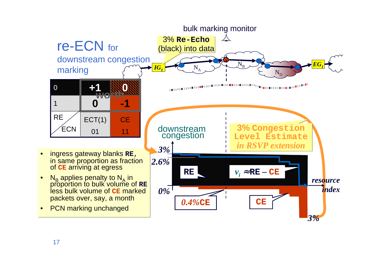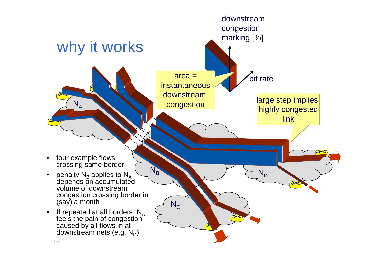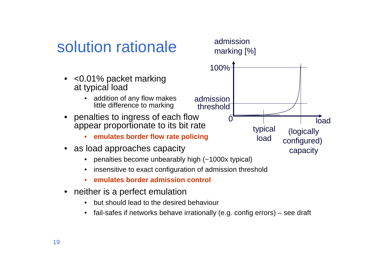## solution rationale

- • <0.01% packet markingat typical load
	- addition of any flow makes little difference to marking
- • penalties to ingress of each flow appear proportionate to its bit rate
	- **emulates border flow rate policing**•
- as load approaches capacity
	- •penalties become unbearably high (~1000x typical)
	- •insensitive to exact configuration of admission threshold
	- •**emulates border admission control**
- neither is a perfect emulation
	- but should lead to the desired behaviour•
	- $\bullet$ fail-safes if networks behave irrationally (e.g. config errors) – see draft

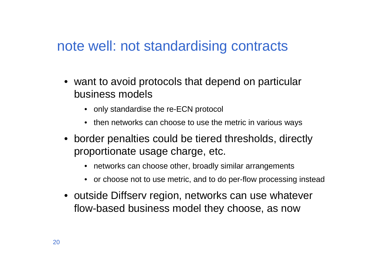#### note well: not standardising contracts

- want to avoid protocols that depend on particular business models
	- only standardise the re-ECN protocol
	- then networks can choose to use the metric in various ways
- border penalties could be tiered thresholds, directly proportionate usage charge, etc.
	- networks can choose other, broadly similar arrangements
	- or choose not to use metric, and to do per-flow processing instead
- outside Diffserv region, networks can use whateverflow-based business model they choose, as now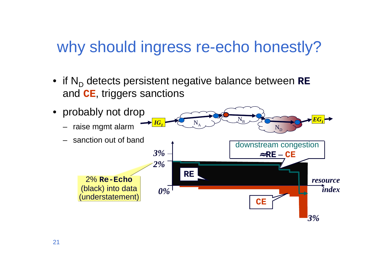## why should ingress re-echo honestly?

• if N<sub>D</sub> detects persistent negative balance between RE and **CE**, triggers sanctions

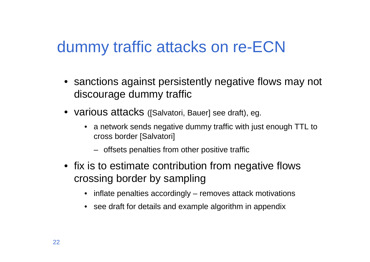#### dummy traffic attacks on re-ECN

- sanctions against persistently negative flows may not discourage dummy traffic
- various attacks ([Salvatori, Bauer] see draft), eg.
	- a network sends negative dummy traffic with just enough TTL to cross border [Salvatori]
		- offsets penalties from other positive traffic
- fix is to estimate contribution from negative flows crossing border by sampling
	- inflate penalties accordingly removes attack motivations
	- see draft for details and example algorithm in appendix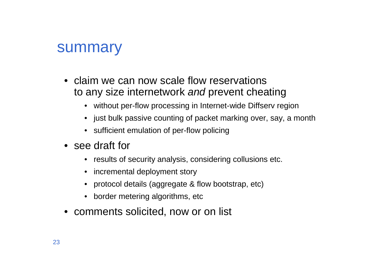#### summary

- claim we can now scale flow reservations to any size internetwork and prevent cheating
	- without per-flow processing in Internet-wide Diffserv region
	- just bulk passive counting of packet marking over, say, a month
	- sufficient emulation of per-flow policing
- see draft for
	- results of security analysis, considering collusions etc.
	- incremental deployment story
	- protocol details (aggregate & flow bootstrap, etc)
	- border metering algorithms, etc
- comments solicited, now or on list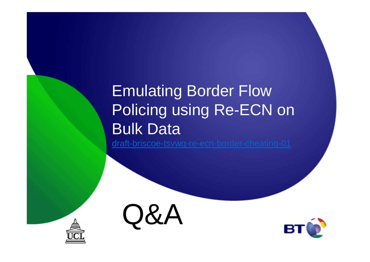# Emulating Border Flow Policing using Re-ECN on Bulk Data

draft-briscoe-tsvwg-re-ecn-border-cheating-01





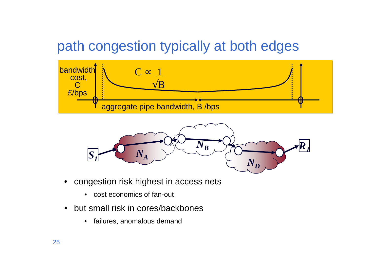#### path congestion typically at both edges





- • congestion risk highest in access nets
	- cost economics of fan-out
- • but small risk in cores/backbones
	- $\bullet$ failures, anomalous demand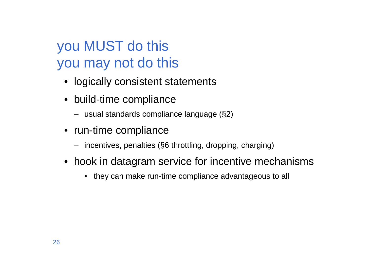## you MUST do thisyou may not do this

- logically consistent statements
- build-time compliance
	- usual standards compliance language (§2)
- run-time compliance
	- incentives, penalties (§6 throttling, dropping, charging)
- hook in datagram service for incentive mechanisms
	- they can make run-time compliance advantageous to all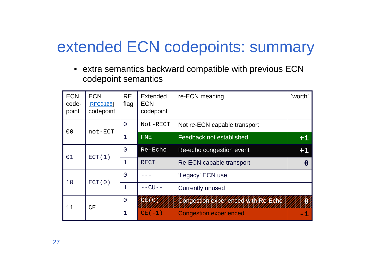## extended ECN codepoints: summary

• extra semantics backward compatible with previous ECN codepoint semantics

| <b>ECN</b><br>code-<br>point | <b>ECN</b><br><b>[RFC3168]</b><br>codepoint | <b>RE</b><br>flag | Extended<br><b>ECN</b><br>codepoint | re-ECN meaning                      | `worth' |
|------------------------------|---------------------------------------------|-------------------|-------------------------------------|-------------------------------------|---------|
| 0 <sub>0</sub>               | not-ECT                                     | $\Omega$          | Not-RECT                            | Not re-ECN capable transport        |         |
|                              |                                             | $\mathbf{1}$      | <b>FNE</b>                          | Feedback not established            | $+1$    |
| 01                           | ECT(1)                                      | $\overline{0}$    | Re-Echo                             | Re-echo congestion event            | $+1$    |
|                              |                                             | $\mathbf 1$       | <b>RECT</b>                         | Re-ECN capable transport            | O       |
| 10                           | ECT(0)                                      | $\overline{0}$    |                                     | 'Legacy' ECN use                    |         |
|                              |                                             | $\mathbf 1$       | $--CU--$                            | <b>Currently unused</b>             |         |
| 11                           | CE                                          | $\Omega$          | CE(0)                               | Congestion experienced with Re-Echo |         |
|                              |                                             | $\mathbf 1$       | $CE(-1)$                            | <b>Congestion experienced</b>       | -1      |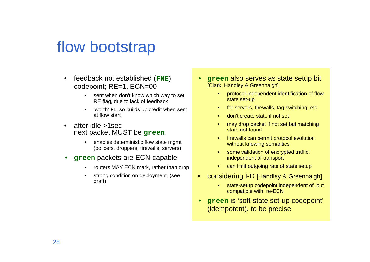#### flow bootstrap

- • feedback not established (**FNE**) codepoint; RE=1, ECN=00
	- sent when don't know which way to set •RE flag, due to lack of feedback
	- • 'worth' **+1**, so builds up credit when sent at flow start
- • after idle >1sec next packet MUST be **green**
	- • enables deterministic flow state mgmt (policers, droppers, firewalls, servers)
- • **green** packets are ECN-capable
	- •routers MAY ECN mark, rather than drop
	- • strong condition on deployment (see draft)
- • **green** also serves as state setup bit [Clark, Handley & Greenhalgh]
	- • protocol-independent identification of flow state set-up
	- •for servers, firewalls, tag switching, etc
	- •don't create state if not set
	- • may drop packet if not set but matching state not found
	- • firewalls can permit protocol evolution without knowing semantics
	- • some validation of encrypted traffic, independent of transport
	- can limit outgoing rate of state setup
- • considering I-D [Handley & Greenhalgh]
	- • state-setup codepoint independent of, but compatible with, re-ECN
- • **green** is 'soft-state set-up codepoint' (idempotent), to be precise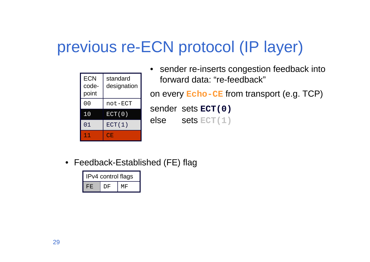## previous re-ECN protocol (IP layer)

| <b>ECN</b><br>code-<br>point | standard<br>designation |
|------------------------------|-------------------------|
| 00                           | not-ECT                 |
| 10                           | ECT(0)                  |
| 01                           | ECT(1)                  |
| T T                          | CE.                     |

 $\bullet$  sender re-inserts congestion feedback into forward data: "re-feedback"on every **Echo-CE** from transport (e.g. TCP) sender sets **ECT(0)**else sets **ECT(1)**

• Feedback-Established (FE) flag

| IPv4 control flags |    |    |  |  |  |
|--------------------|----|----|--|--|--|
| H'H.               | DF | МF |  |  |  |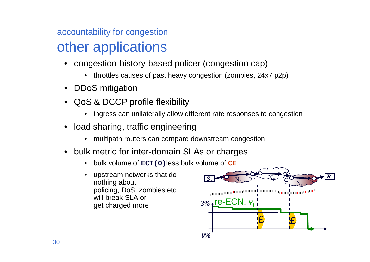#### accountability for congestionother applications

- congestion-history-based policer (congestion cap)
	- throttles causes of past heavy congestion (zombies, 24x7 p2p)
- DDoS mitigation
- • QoS & DCCP profile flexibility
	- •ingress can unilaterally allow different rate responses to congestion
- • load sharing, traffic engineering
	- •multipath routers can compare downstream congestion
- • bulk metric for inter-domain SLAs or charges
	- •bulk volume of **ECT(0)**less bulk volume of **CE**
	- • upstream networks that do nothing about policing, DoS, zombies etcwill break SLA or get charged more